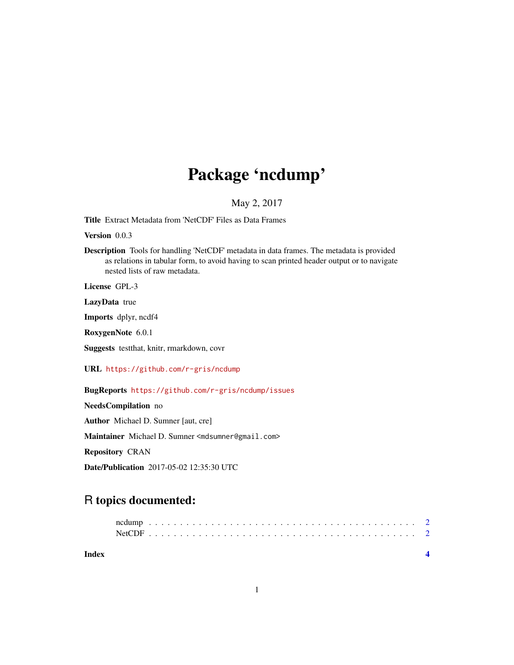# Package 'ncdump'

### May 2, 2017

<span id="page-0-0"></span>Title Extract Metadata from 'NetCDF' Files as Data Frames

Version 0.0.3

Description Tools for handling 'NetCDF' metadata in data frames. The metadata is provided as relations in tabular form, to avoid having to scan printed header output or to navigate nested lists of raw metadata.

License GPL-3

LazyData true

Imports dplyr, ncdf4

RoxygenNote 6.0.1

Suggests testthat, knitr, rmarkdown, covr

URL <https://github.com/r-gris/ncdump>

BugReports <https://github.com/r-gris/ncdump/issues>

NeedsCompilation no Author Michael D. Sumner [aut, cre] Maintainer Michael D. Sumner <mdsumner@gmail.com> Repository CRAN Date/Publication 2017-05-02 12:35:30 UTC

## R topics documented: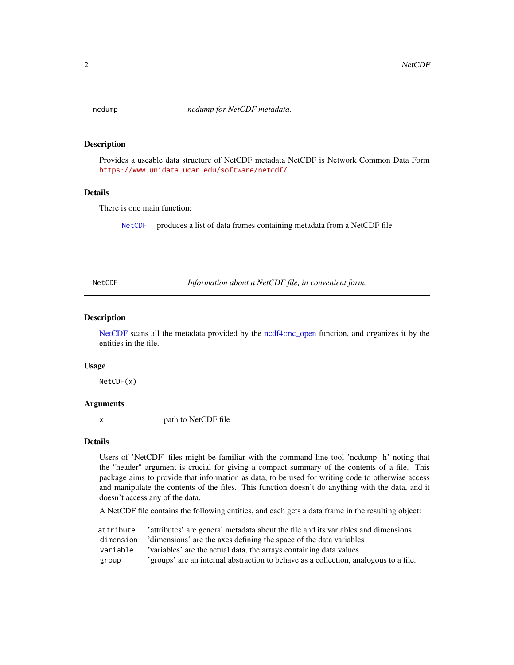<span id="page-1-0"></span>

#### Description

Provides a useable data structure of NetCDF metadata NetCDF is Network Common Data Form <https://www.unidata.ucar.edu/software/netcdf/>.

#### Details

There is one main function:

[NetCDF](#page-1-1) produces a list of data frames containing metadata from a NetCDF file

<span id="page-1-1"></span>NetCDF *Information about a NetCDF file, in convenient form.*

#### Description

[NetCDF](#page-1-1) scans all the metadata provided by the [ncdf4::nc\\_open](#page-0-0) function, and organizes it by the entities in the file.

#### Usage

NetCDF(x)

#### Arguments

x path to NetCDF file

#### Details

Users of 'NetCDF' files might be familiar with the command line tool 'ncdump -h' noting that the "header" argument is crucial for giving a compact summary of the contents of a file. This package aims to provide that information as data, to be used for writing code to otherwise access and manipulate the contents of the files. This function doesn't do anything with the data, and it doesn't access any of the data.

A NetCDF file contains the following entities, and each gets a data frame in the resulting object:

attribute 'attributes' are general metadata about the file and its variables and dimensions dimension 'dimensions' are the axes defining the space of the data variables variable 'variables' are the actual data, the arrays containing data values group 'groups' are an internal abstraction to behave as a collection, analogous to a file.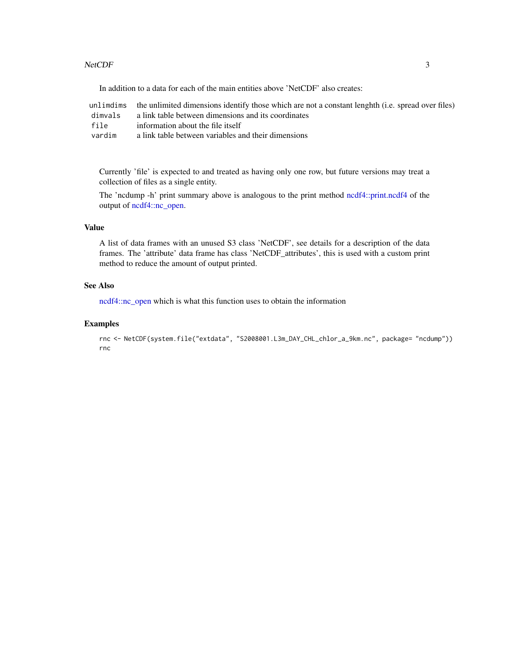#### <span id="page-2-0"></span>NetCDF 3

In addition to a data for each of the main entities above 'NetCDF' also creates:

|         | unlimdims the unlimited dimensions identify those which are not a constant lenghth (i.e. spread over files) |
|---------|-------------------------------------------------------------------------------------------------------------|
| dimvals | a link table between dimensions and its coordinates                                                         |
| file    | information about the file itself                                                                           |
| vardim  | a link table between variables and their dimensions                                                         |

Currently 'file' is expected to and treated as having only one row, but future versions may treat a collection of files as a single entity.

The 'ncdump -h' print summary above is analogous to the print method [ncdf4::print.ncdf4](#page-0-0) of the output of [ncdf4::nc\\_open.](#page-0-0)

#### Value

A list of data frames with an unused S3 class 'NetCDF', see details for a description of the data frames. The 'attribute' data frame has class 'NetCDF\_attributes', this is used with a custom print method to reduce the amount of output printed.

#### See Also

[ncdf4::nc\\_open](#page-0-0) which is what this function uses to obtain the information

#### Examples

```
rnc <- NetCDF(system.file("extdata", "S2008001.L3m_DAY_CHL_chlor_a_9km.nc", package= "ncdump"))
rnc
```